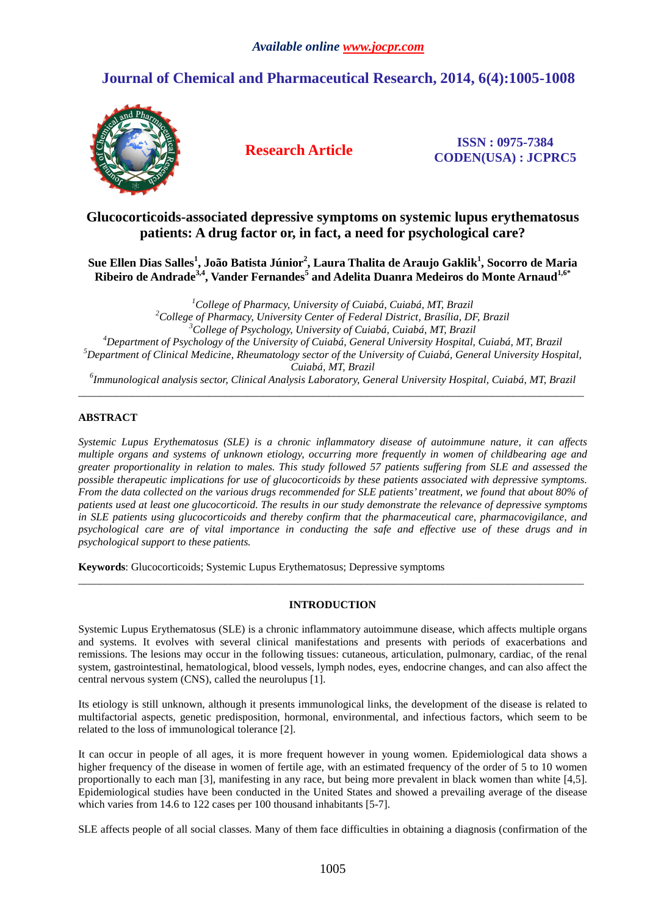# **Journal of Chemical and Pharmaceutical Research, 2014, 6(4):1005-1008**



**Research Article ISSN : 0975-7384 CODEN(USA) : JCPRC5**

## **Glucocorticoids-associated depressive symptoms on systemic lupus erythematosus patients: A drug factor or, in fact, a need for psychological care?**

**Sue Ellen Dias Salles<sup>1</sup> , João Batista Júnior<sup>2</sup> , Laura Thalita de Araujo Gaklik<sup>1</sup> , Socorro de Maria Ribeiro de Andrade3,4, Vander Fernandes<sup>5</sup> and Adelita Duanra Medeiros do Monte Arnaud1,6\***

*College of Pharmacy, University of Cuiabá, Cuiabá, MT, Brazil College of Pharmacy, University Center of Federal District, Brasília, DF, Brazil College of Psychology, University of Cuiabá, Cuiabá, MT, Brazil Department of Psychology of the University of Cuiabá, General University Hospital, Cuiabá, MT, Brazil Department of Clinical Medicine, Rheumatology sector of the University of Cuiabá, General University Hospital, Cuiabá, MT, Brazil Immunological analysis sector, Clinical Analysis Laboratory, General University Hospital, Cuiabá, MT, Brazil* 

\_\_\_\_\_\_\_\_\_\_\_\_\_\_\_\_\_\_\_\_\_\_\_\_\_\_\_\_\_\_\_\_\_\_\_\_\_\_\_\_\_\_\_\_\_\_\_\_\_\_\_\_\_\_\_\_\_\_\_\_\_\_\_\_\_\_\_\_\_\_\_\_\_\_\_\_\_\_\_\_\_\_\_\_\_\_\_\_\_\_\_\_\_

### **ABSTRACT**

*Systemic Lupus Erythematosus (SLE) is a chronic inflammatory disease of autoimmune nature, it can affects multiple organs and systems of unknown etiology, occurring more frequently in women of childbearing age and greater proportionality in relation to males. This study followed 57 patients suffering from SLE and assessed the possible therapeutic implications for use of glucocorticoids by these patients associated with depressive symptoms. From the data collected on the various drugs recommended for SLE patients' treatment, we found that about 80% of patients used at least one glucocorticoid. The results in our study demonstrate the relevance of depressive symptoms in SLE patients using glucocorticoids and thereby confirm that the pharmaceutical care, pharmacovigilance, and psychological care are of vital importance in conducting the safe and effective use of these drugs and in psychological support to these patients.* 

**Keywords**: Glucocorticoids; Systemic Lupus Erythematosus; Depressive symptoms

#### **INTRODUCTION**

\_\_\_\_\_\_\_\_\_\_\_\_\_\_\_\_\_\_\_\_\_\_\_\_\_\_\_\_\_\_\_\_\_\_\_\_\_\_\_\_\_\_\_\_\_\_\_\_\_\_\_\_\_\_\_\_\_\_\_\_\_\_\_\_\_\_\_\_\_\_\_\_\_\_\_\_\_\_\_\_\_\_\_\_\_\_\_\_\_\_\_\_\_

Systemic Lupus Erythematosus (SLE) is a chronic inflammatory autoimmune disease, which affects multiple organs and systems. It evolves with several clinical manifestations and presents with periods of exacerbations and remissions. The lesions may occur in the following tissues: cutaneous, articulation, pulmonary, cardiac, of the renal system, gastrointestinal, hematological, blood vessels, lymph nodes, eyes, endocrine changes, and can also affect the central nervous system (CNS), called the neurolupus [1].

Its etiology is still unknown, although it presents immunological links, the development of the disease is related to multifactorial aspects, genetic predisposition, hormonal, environmental, and infectious factors, which seem to be related to the loss of immunological tolerance [2].

It can occur in people of all ages, it is more frequent however in young women. Epidemiological data shows a higher frequency of the disease in women of fertile age, with an estimated frequency of the order of 5 to 10 women proportionally to each man [3], manifesting in any race, but being more prevalent in black women than white [4,5]. Epidemiological studies have been conducted in the United States and showed a prevailing average of the disease which varies from 14.6 to 122 cases per 100 thousand inhabitants [5-7].

SLE affects people of all social classes. Many of them face difficulties in obtaining a diagnosis (confirmation of the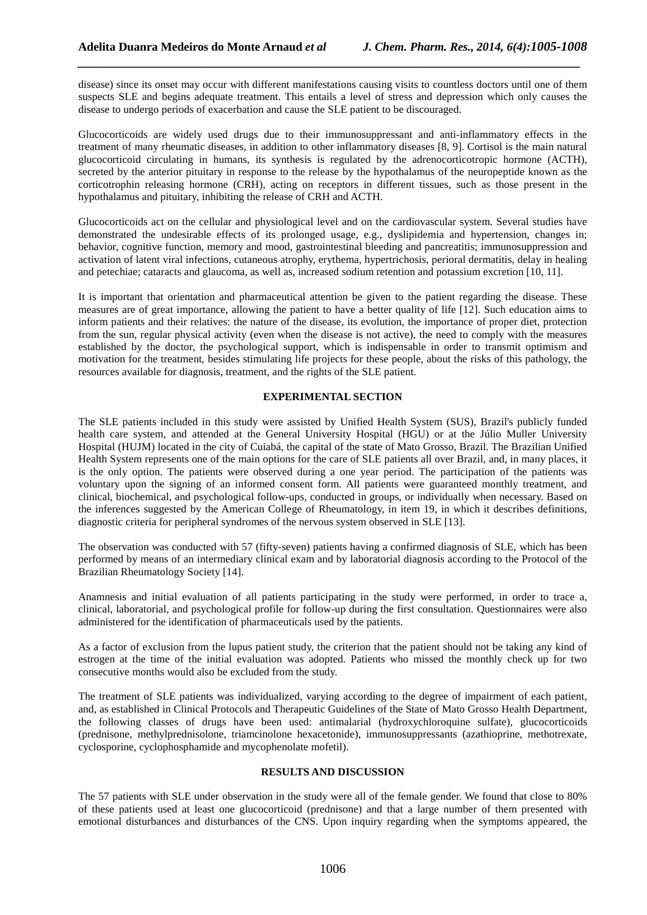disease) since its onset may occur with different manifestations causing visits to countless doctors until one of them suspects SLE and begins adequate treatment. This entails a level of stress and depression which only causes the disease to undergo periods of exacerbation and cause the SLE patient to be discouraged.

*\_\_\_\_\_\_\_\_\_\_\_\_\_\_\_\_\_\_\_\_\_\_\_\_\_\_\_\_\_\_\_\_\_\_\_\_\_\_\_\_\_\_\_\_\_\_\_\_\_\_\_\_\_\_\_\_\_\_\_\_\_\_\_\_\_\_\_\_\_\_\_\_\_\_\_\_\_*

Glucocorticoids are widely used drugs due to their immunosuppressant and anti-inflammatory effects in the treatment of many rheumatic diseases, in addition to other inflammatory diseases [8, 9]. Cortisol is the main natural glucocorticoid circulating in humans, its synthesis is regulated by the adrenocorticotropic hormone (ACTH), secreted by the anterior pituitary in response to the release by the hypothalamus of the neuropeptide known as the corticotrophin releasing hormone (CRH), acting on receptors in different tissues, such as those present in the hypothalamus and pituitary, inhibiting the release of CRH and ACTH.

Glucocorticoids act on the cellular and physiological level and on the cardiovascular system. Several studies have demonstrated the undesirable effects of its prolonged usage, e.g., dyslipidemia and hypertension, changes in; behavior, cognitive function, memory and mood, gastrointestinal bleeding and pancreatitis; immunosuppression and activation of latent viral infections, cutaneous atrophy, erythema, hypertrichosis, perioral dermatitis, delay in healing and petechiae; cataracts and glaucoma, as well as, increased sodium retention and potassium excretion [10, 11].

It is important that orientation and pharmaceutical attention be given to the patient regarding the disease. These measures are of great importance, allowing the patient to have a better quality of life [12]. Such education aims to inform patients and their relatives: the nature of the disease, its evolution, the importance of proper diet, protection from the sun, regular physical activity (even when the disease is not active), the need to comply with the measures established by the doctor, the psychological support, which is indispensable in order to transmit optimism and motivation for the treatment, besides stimulating life projects for these people, about the risks of this pathology, the resources available for diagnosis, treatment, and the rights of the SLE patient.

#### **EXPERIMENTAL SECTION**

The SLE patients included in this study were assisted by Unified Health System (SUS), Brazil's publicly funded health care system, and attended at the General University Hospital (HGU) or at the Júlio Muller University Hospital (HUJM) located in the city of Cuiabá, the capital of the state of Mato Grosso, Brazil. The Brazilian Unified Health System represents one of the main options for the care of SLE patients all over Brazil, and, in many places, it is the only option. The patients were observed during a one year period. The participation of the patients was voluntary upon the signing of an informed consent form. All patients were guaranteed monthly treatment, and clinical, biochemical, and psychological follow-ups, conducted in groups, or individually when necessary. Based on the inferences suggested by the American College of Rheumatology, in item 19, in which it describes definitions, diagnostic criteria for peripheral syndromes of the nervous system observed in SLE [13].

The observation was conducted with 57 (fifty-seven) patients having a confirmed diagnosis of SLE, which has been performed by means of an intermediary clinical exam and by laboratorial diagnosis according to the Protocol of the Brazilian Rheumatology Society [14].

Anamnesis and initial evaluation of all patients participating in the study were performed, in order to trace a, clinical, laboratorial, and psychological profile for follow-up during the first consultation. Questionnaires were also administered for the identification of pharmaceuticals used by the patients.

As a factor of exclusion from the lupus patient study, the criterion that the patient should not be taking any kind of estrogen at the time of the initial evaluation was adopted. Patients who missed the monthly check up for two consecutive months would also be excluded from the study.

The treatment of SLE patients was individualized, varying according to the degree of impairment of each patient, and, as established in Clinical Protocols and Therapeutic Guidelines of the State of Mato Grosso Health Department, the following classes of drugs have been used: antimalarial (hydroxychloroquine sulfate), glucocorticoids (prednisone, methylprednisolone, triamcinolone hexacetonide), immunosuppressants (azathioprine, methotrexate, cyclosporine, cyclophosphamide and mycophenolate mofetil).

#### **RESULTS AND DISCUSSION**

The 57 patients with SLE under observation in the study were all of the female gender. We found that close to 80% of these patients used at least one glucocorticoid (prednisone) and that a large number of them presented with emotional disturbances and disturbances of the CNS. Upon inquiry regarding when the symptoms appeared, the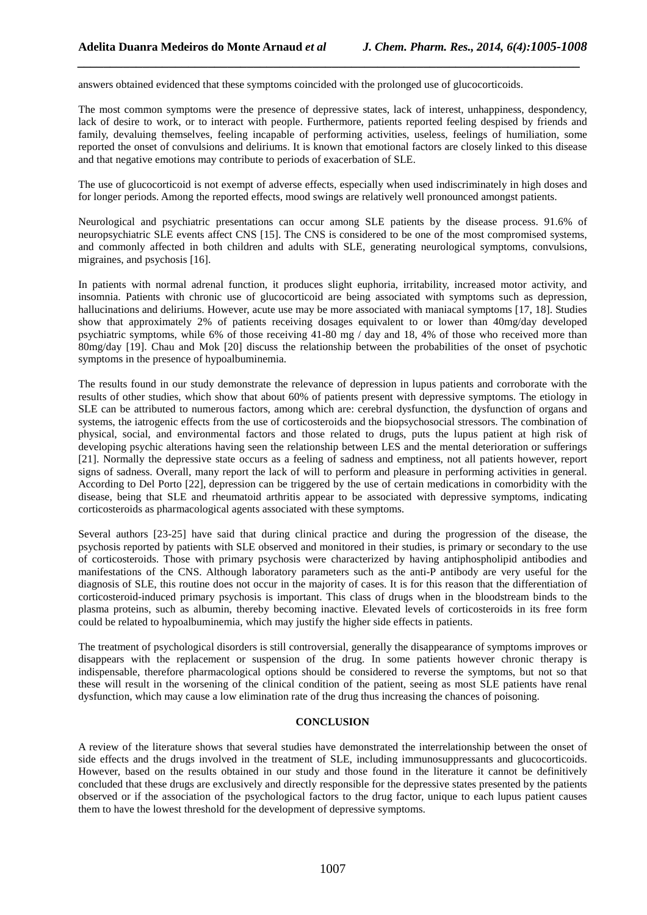answers obtained evidenced that these symptoms coincided with the prolonged use of glucocorticoids.

The most common symptoms were the presence of depressive states, lack of interest, unhappiness, despondency, lack of desire to work, or to interact with people. Furthermore, patients reported feeling despised by friends and family, devaluing themselves, feeling incapable of performing activities, useless, feelings of humiliation, some reported the onset of convulsions and deliriums. It is known that emotional factors are closely linked to this disease and that negative emotions may contribute to periods of exacerbation of SLE.

*\_\_\_\_\_\_\_\_\_\_\_\_\_\_\_\_\_\_\_\_\_\_\_\_\_\_\_\_\_\_\_\_\_\_\_\_\_\_\_\_\_\_\_\_\_\_\_\_\_\_\_\_\_\_\_\_\_\_\_\_\_\_\_\_\_\_\_\_\_\_\_\_\_\_\_\_\_*

The use of glucocorticoid is not exempt of adverse effects, especially when used indiscriminately in high doses and for longer periods. Among the reported effects, mood swings are relatively well pronounced amongst patients.

Neurological and psychiatric presentations can occur among SLE patients by the disease process. 91.6% of neuropsychiatric SLE events affect CNS [15]. The CNS is considered to be one of the most compromised systems, and commonly affected in both children and adults with SLE, generating neurological symptoms, convulsions, migraines, and psychosis [16].

In patients with normal adrenal function, it produces slight euphoria, irritability, increased motor activity, and insomnia. Patients with chronic use of glucocorticoid are being associated with symptoms such as depression, hallucinations and deliriums. However, acute use may be more associated with maniacal symptoms [17, 18]. Studies show that approximately 2% of patients receiving dosages equivalent to or lower than 40mg/day developed psychiatric symptoms, while 6% of those receiving 41-80 mg / day and 18, 4% of those who received more than 80mg/day [19]. Chau and Mok [20] discuss the relationship between the probabilities of the onset of psychotic symptoms in the presence of hypoalbuminemia.

The results found in our study demonstrate the relevance of depression in lupus patients and corroborate with the results of other studies, which show that about 60% of patients present with depressive symptoms. The etiology in SLE can be attributed to numerous factors, among which are: cerebral dysfunction, the dysfunction of organs and systems, the iatrogenic effects from the use of corticosteroids and the biopsychosocial stressors. The combination of physical, social, and environmental factors and those related to drugs, puts the lupus patient at high risk of developing psychic alterations having seen the relationship between LES and the mental deterioration or sufferings [21]. Normally the depressive state occurs as a feeling of sadness and emptiness, not all patients however, report signs of sadness. Overall, many report the lack of will to perform and pleasure in performing activities in general. According to Del Porto [22], depression can be triggered by the use of certain medications in comorbidity with the disease, being that SLE and rheumatoid arthritis appear to be associated with depressive symptoms, indicating corticosteroids as pharmacological agents associated with these symptoms.

Several authors [23-25] have said that during clinical practice and during the progression of the disease, the psychosis reported by patients with SLE observed and monitored in their studies, is primary or secondary to the use of corticosteroids. Those with primary psychosis were characterized by having antiphospholipid antibodies and manifestations of the CNS. Although laboratory parameters such as the anti-P antibody are very useful for the diagnosis of SLE, this routine does not occur in the majority of cases. It is for this reason that the differentiation of corticosteroid-induced primary psychosis is important. This class of drugs when in the bloodstream binds to the plasma proteins, such as albumin, thereby becoming inactive. Elevated levels of corticosteroids in its free form could be related to hypoalbuminemia, which may justify the higher side effects in patients.

The treatment of psychological disorders is still controversial, generally the disappearance of symptoms improves or disappears with the replacement or suspension of the drug. In some patients however chronic therapy is indispensable, therefore pharmacological options should be considered to reverse the symptoms, but not so that these will result in the worsening of the clinical condition of the patient, seeing as most SLE patients have renal dysfunction, which may cause a low elimination rate of the drug thus increasing the chances of poisoning.

#### **CONCLUSION**

A review of the literature shows that several studies have demonstrated the interrelationship between the onset of side effects and the drugs involved in the treatment of SLE, including immunosuppressants and glucocorticoids. However, based on the results obtained in our study and those found in the literature it cannot be definitively concluded that these drugs are exclusively and directly responsible for the depressive states presented by the patients observed or if the association of the psychological factors to the drug factor, unique to each lupus patient causes them to have the lowest threshold for the development of depressive symptoms.